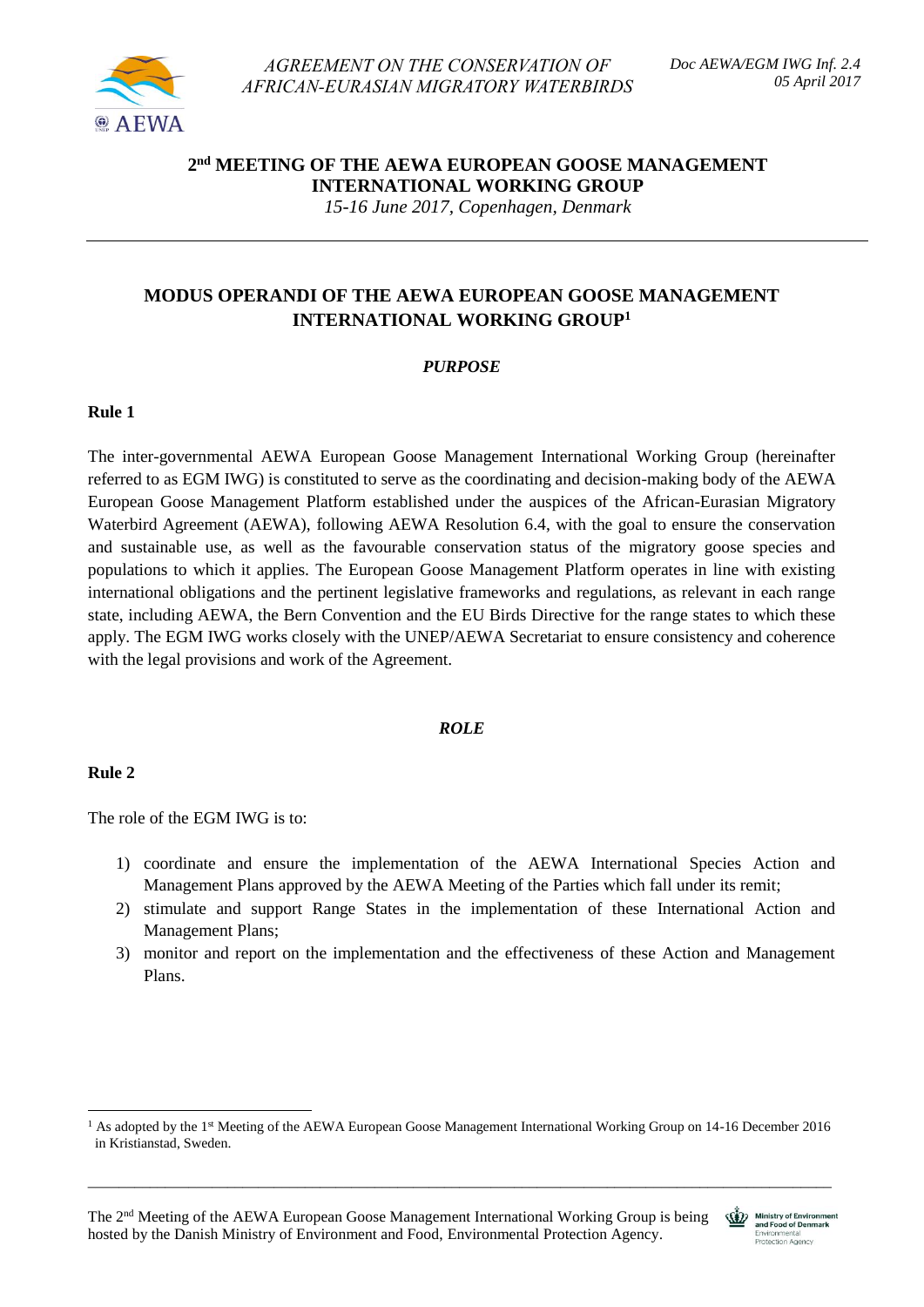

*AGREEMENT ON THE CONSERVATION OF AFRICAN-EURASIAN MIGRATORY WATERBIRDS* 

# **2 nd MEETING OF THE AEWA EUROPEAN GOOSE MANAGEMENT INTERNATIONAL WORKING GROUP**

*15-16 June 2017, Copenhagen, Denmark*

# **MODUS OPERANDI OF THE AEWA EUROPEAN GOOSE MANAGEMENT INTERNATIONAL WORKING GROUP<sup>1</sup>**

# *PURPOSE*

# **Rule 1**

The inter-governmental AEWA European Goose Management International Working Group (hereinafter referred to as EGM IWG) is constituted to serve as the coordinating and decision-making body of the AEWA European Goose Management Platform established under the auspices of the African-Eurasian Migratory Waterbird Agreement (AEWA), following AEWA Resolution 6.4, with the goal to ensure the conservation and sustainable use, as well as the favourable conservation status of the migratory goose species and populations to which it applies. The European Goose Management Platform operates in line with existing international obligations and the pertinent legislative frameworks and regulations, as relevant in each range state, including AEWA, the Bern Convention and the EU Birds Directive for the range states to which these apply. The EGM IWG works closely with the UNEP/AEWA Secretariat to ensure consistency and coherence with the legal provisions and work of the Agreement.

# *ROLE*

# **Rule 2**

**.** 

The role of the EGM IWG is to:

- 1) coordinate and ensure the implementation of the AEWA International Species Action and Management Plans approved by the AEWA Meeting of the Parties which fall under its remit;
- 2) stimulate and support Range States in the implementation of these International Action and Management Plans;
- 3) monitor and report on the implementation and the effectiveness of these Action and Management Plans.

\_\_\_\_\_\_\_\_\_\_\_\_\_\_\_\_\_\_\_\_\_\_\_\_\_\_\_\_\_\_\_\_\_\_\_\_\_\_\_\_\_\_\_\_\_\_\_\_\_\_\_\_\_\_\_\_\_\_\_\_\_\_\_\_\_\_\_\_\_\_\_\_\_\_\_\_\_\_\_\_\_\_\_\_\_\_\_\_\_\_\_\_\_\_\_\_



<sup>&</sup>lt;sup>1</sup> As adopted by the 1<sup>st</sup> Meeting of the AEWA European Goose Management International Working Group on 14-16 December 2016 in Kristianstad, Sweden.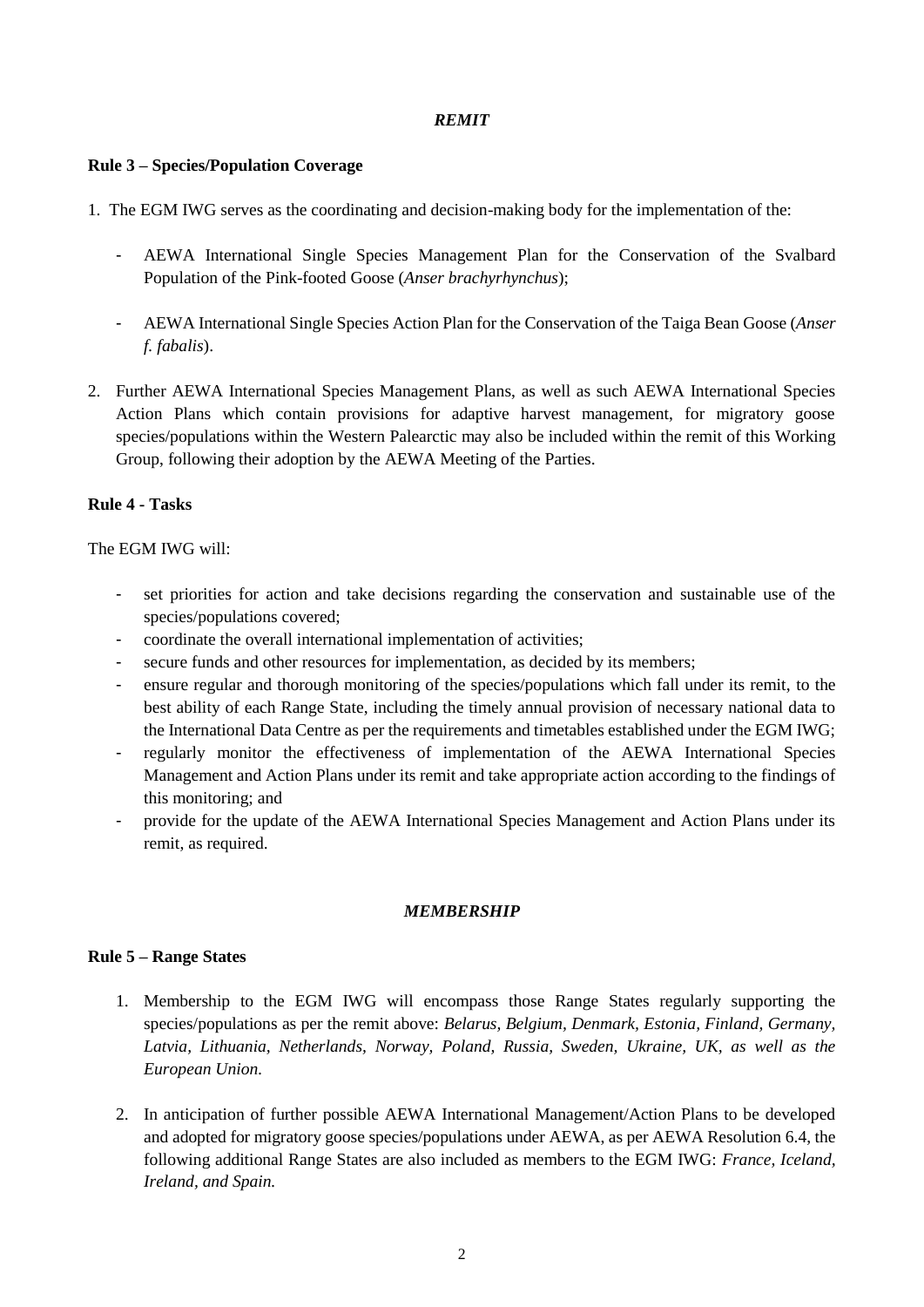# *REMIT*

## **Rule 3 – Species/Population Coverage**

- 1. The EGM IWG serves as the coordinating and decision-making body for the implementation of the:
	- AEWA International Single Species Management Plan for the Conservation of the Svalbard Population of the Pink-footed Goose (*Anser brachyrhynchus*);
	- AEWA International Single Species Action Plan for the Conservation of the Taiga Bean Goose (*Anser f. fabalis*).
- 2. Further AEWA International Species Management Plans, as well as such AEWA International Species Action Plans which contain provisions for adaptive harvest management, for migratory goose species/populations within the Western Palearctic may also be included within the remit of this Working Group, following their adoption by the AEWA Meeting of the Parties.

# **Rule 4 - Tasks**

## The EGM IWG will:

- set priorities for action and take decisions regarding the conservation and sustainable use of the species/populations covered;
- coordinate the overall international implementation of activities;
- secure funds and other resources for implementation, as decided by its members;
- ensure regular and thorough monitoring of the species/populations which fall under its remit, to the best ability of each Range State, including the timely annual provision of necessary national data to the International Data Centre as per the requirements and timetables established under the EGM IWG;
- regularly monitor the effectiveness of implementation of the AEWA International Species Management and Action Plans under its remit and take appropriate action according to the findings of this monitoring; and
- provide for the update of the AEWA International Species Management and Action Plans under its remit, as required.

## *MEMBERSHIP*

## **Rule 5 – Range States**

- 1. Membership to the EGM IWG will encompass those Range States regularly supporting the species/populations as per the remit above: *Belarus, Belgium, Denmark, Estonia, Finland, Germany, Latvia, Lithuania, Netherlands, Norway, Poland, Russia, Sweden, Ukraine, UK, as well as the European Union.*
- 2. In anticipation of further possible AEWA International Management/Action Plans to be developed and adopted for migratory goose species/populations under AEWA, as per AEWA Resolution 6.4, the following additional Range States are also included as members to the EGM IWG: *France, Iceland, Ireland, and Spain.*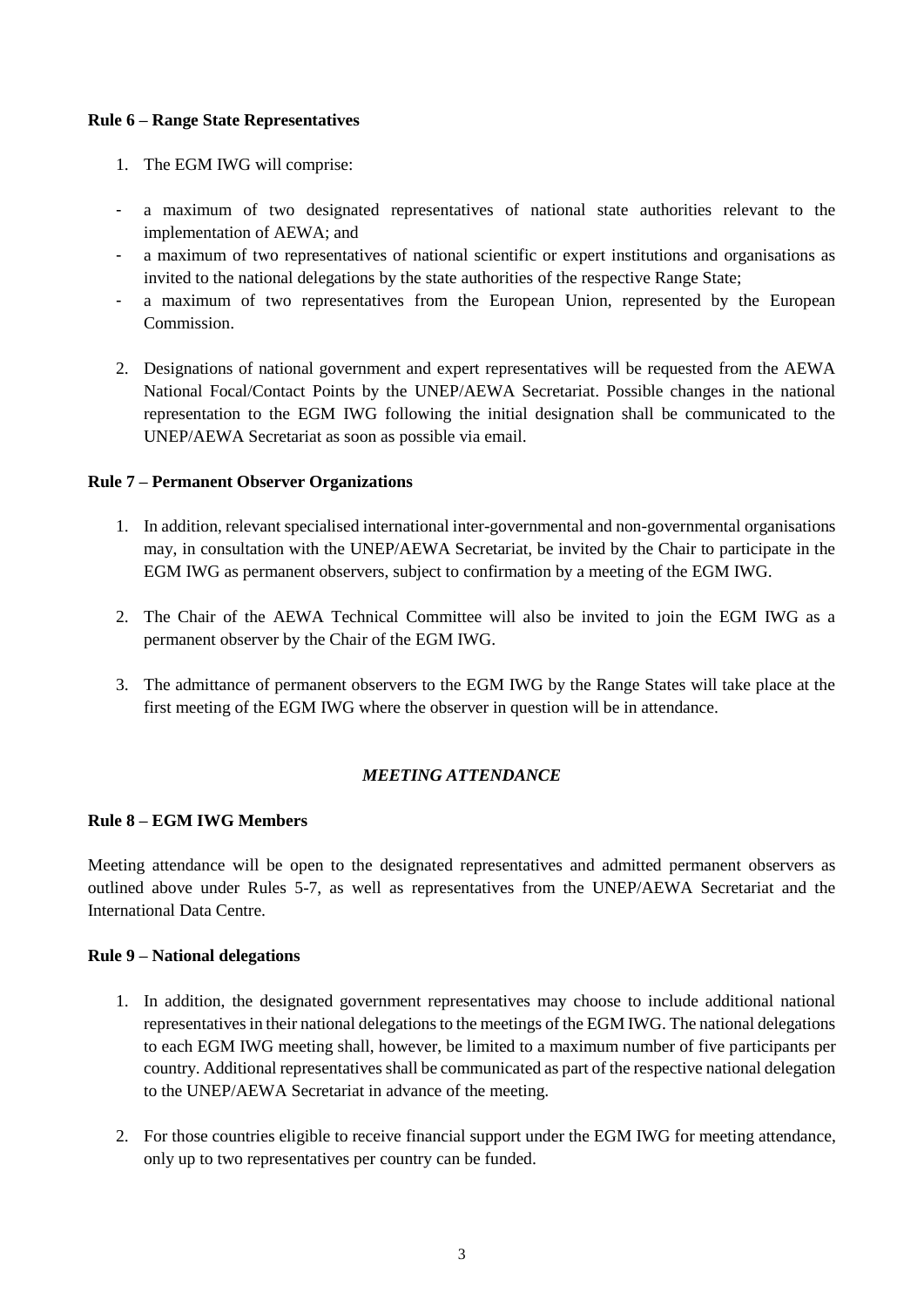## **Rule 6 – Range State Representatives**

- 1. The EGM IWG will comprise:
- a maximum of two designated representatives of national state authorities relevant to the implementation of AEWA; and
- a maximum of two representatives of national scientific or expert institutions and organisations as invited to the national delegations by the state authorities of the respective Range State;
- a maximum of two representatives from the European Union, represented by the European Commission.
- 2. Designations of national government and expert representatives will be requested from the AEWA National Focal/Contact Points by the UNEP/AEWA Secretariat. Possible changes in the national representation to the EGM IWG following the initial designation shall be communicated to the UNEP/AEWA Secretariat as soon as possible via email.

# **Rule 7 – Permanent Observer Organizations**

- 1. In addition, relevant specialised international inter-governmental and non-governmental organisations may, in consultation with the UNEP/AEWA Secretariat, be invited by the Chair to participate in the EGM IWG as permanent observers, subject to confirmation by a meeting of the EGM IWG.
- 2. The Chair of the AEWA Technical Committee will also be invited to join the EGM IWG as a permanent observer by the Chair of the EGM IWG.
- 3. The admittance of permanent observers to the EGM IWG by the Range States will take place at the first meeting of the EGM IWG where the observer in question will be in attendance.

# *MEETING ATTENDANCE*

# **Rule 8 – EGM IWG Members**

Meeting attendance will be open to the designated representatives and admitted permanent observers as outlined above under Rules 5-7, as well as representatives from the UNEP/AEWA Secretariat and the International Data Centre.

## **Rule 9 – National delegations**

- 1. In addition, the designated government representatives may choose to include additional national representatives in their national delegations to the meetings of the EGM IWG. The national delegations to each EGM IWG meeting shall, however, be limited to a maximum number of five participants per country. Additional representatives shall be communicated as part of the respective national delegation to the UNEP/AEWA Secretariat in advance of the meeting.
- 2. For those countries eligible to receive financial support under the EGM IWG for meeting attendance, only up to two representatives per country can be funded.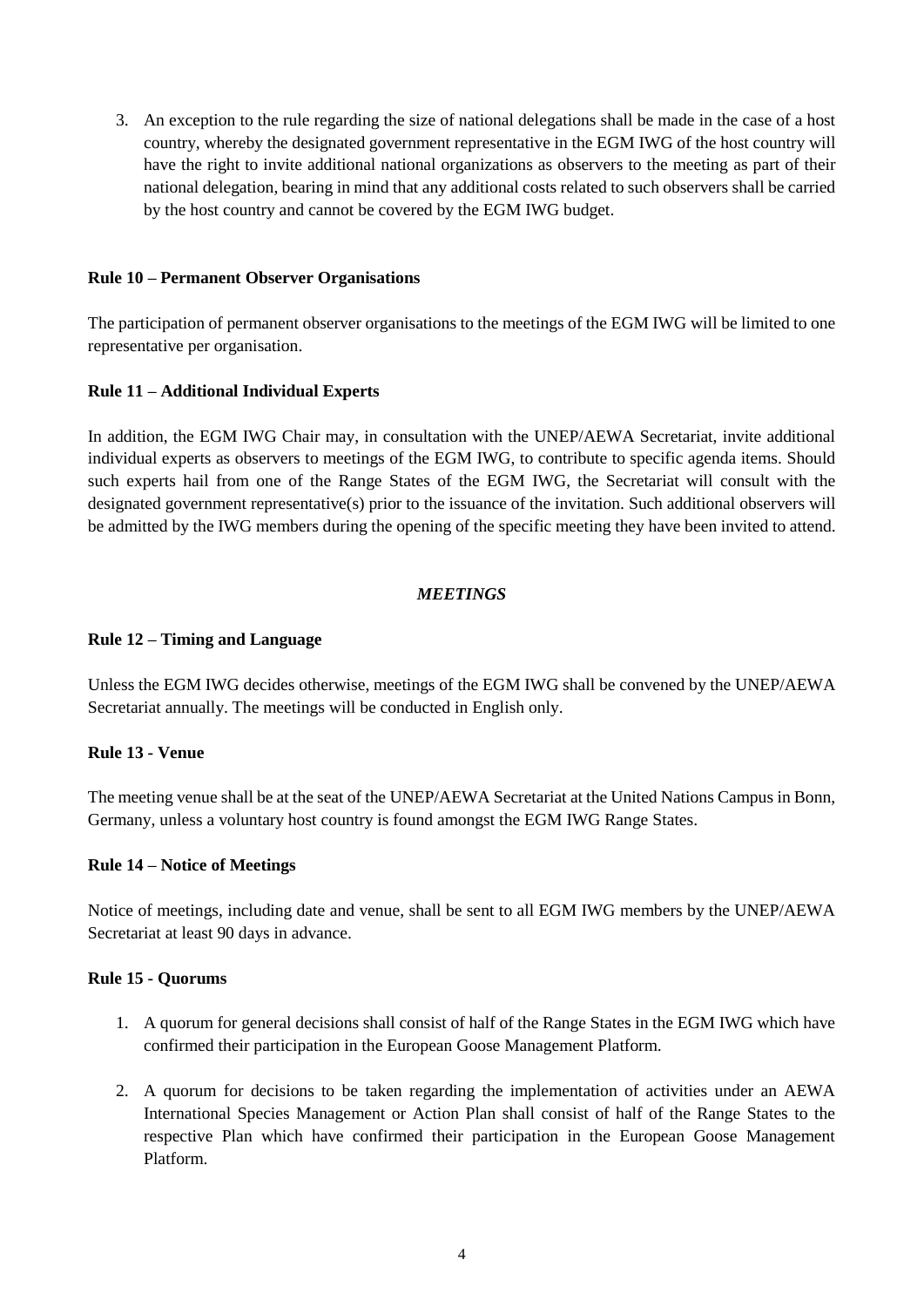3. An exception to the rule regarding the size of national delegations shall be made in the case of a host country, whereby the designated government representative in the EGM IWG of the host country will have the right to invite additional national organizations as observers to the meeting as part of their national delegation, bearing in mind that any additional costs related to such observers shall be carried by the host country and cannot be covered by the EGM IWG budget.

## **Rule 10 – Permanent Observer Organisations**

The participation of permanent observer organisations to the meetings of the EGM IWG will be limited to one representative per organisation.

## **Rule 11 – Additional Individual Experts**

In addition, the EGM IWG Chair may, in consultation with the UNEP/AEWA Secretariat, invite additional individual experts as observers to meetings of the EGM IWG, to contribute to specific agenda items. Should such experts hail from one of the Range States of the EGM IWG, the Secretariat will consult with the designated government representative(s) prior to the issuance of the invitation. Such additional observers will be admitted by the IWG members during the opening of the specific meeting they have been invited to attend.

# *MEETINGS*

## **Rule 12 – Timing and Language**

Unless the EGM IWG decides otherwise, meetings of the EGM IWG shall be convened by the UNEP/AEWA Secretariat annually. The meetings will be conducted in English only.

## **Rule 13 - Venue**

The meeting venue shall be at the seat of the UNEP/AEWA Secretariat at the United Nations Campus in Bonn, Germany, unless a voluntary host country is found amongst the EGM IWG Range States.

## **Rule 14 – Notice of Meetings**

Notice of meetings, including date and venue, shall be sent to all EGM IWG members by the UNEP/AEWA Secretariat at least 90 days in advance.

## **Rule 15 - Quorums**

- 1. A quorum for general decisions shall consist of half of the Range States in the EGM IWG which have confirmed their participation in the European Goose Management Platform.
- 2. A quorum for decisions to be taken regarding the implementation of activities under an AEWA International Species Management or Action Plan shall consist of half of the Range States to the respective Plan which have confirmed their participation in the European Goose Management Platform.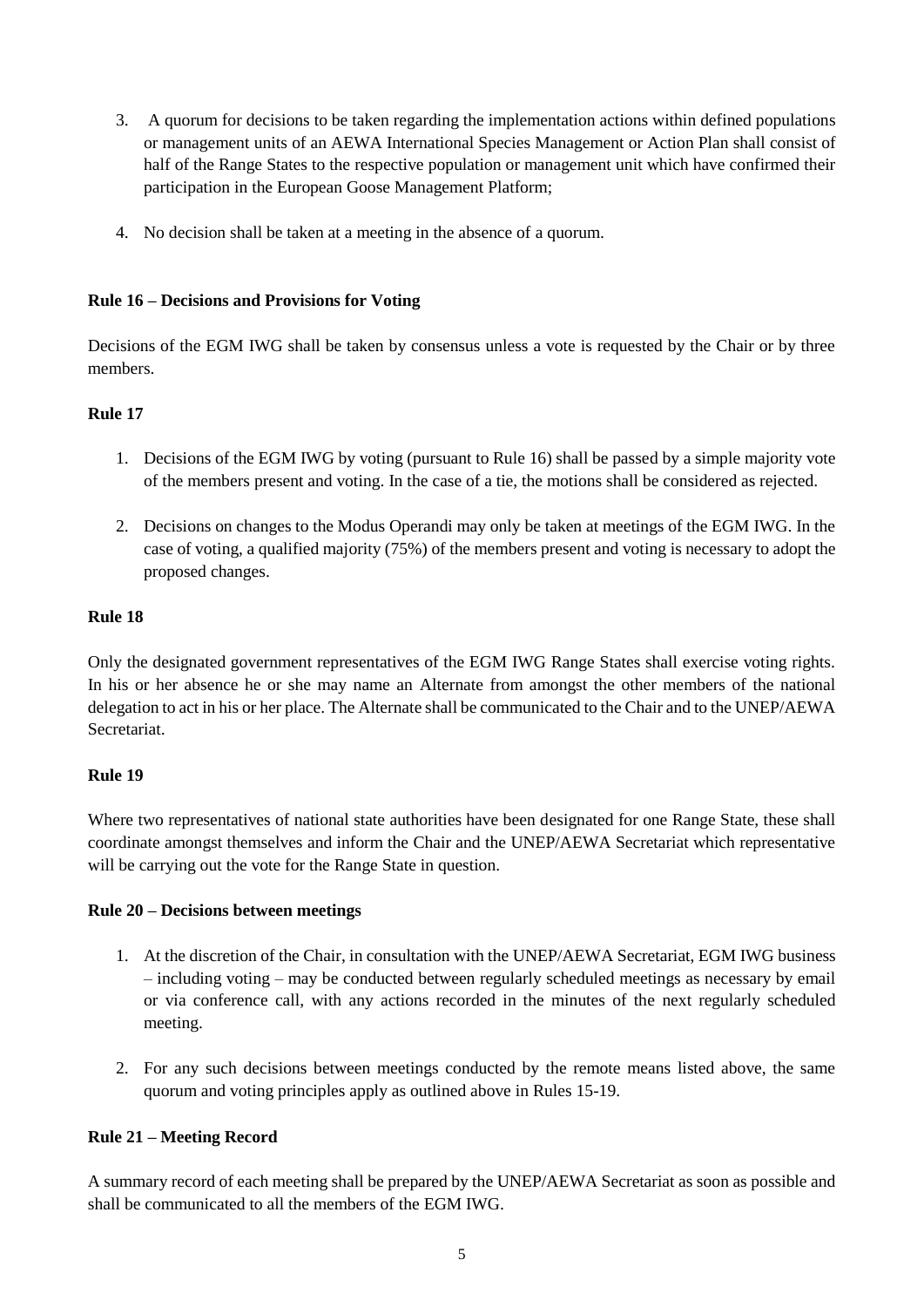- 3. A quorum for decisions to be taken regarding the implementation actions within defined populations or management units of an AEWA International Species Management or Action Plan shall consist of half of the Range States to the respective population or management unit which have confirmed their participation in the European Goose Management Platform;
- 4. No decision shall be taken at a meeting in the absence of a quorum.

## **Rule 16 – Decisions and Provisions for Voting**

Decisions of the EGM IWG shall be taken by consensus unless a vote is requested by the Chair or by three members.

# **Rule 17**

- 1. Decisions of the EGM IWG by voting (pursuant to Rule 16) shall be passed by a simple majority vote of the members present and voting. In the case of a tie, the motions shall be considered as rejected.
- 2. Decisions on changes to the Modus Operandi may only be taken at meetings of the EGM IWG. In the case of voting, a qualified majority (75%) of the members present and voting is necessary to adopt the proposed changes.

## **Rule 18**

Only the designated government representatives of the EGM IWG Range States shall exercise voting rights. In his or her absence he or she may name an Alternate from amongst the other members of the national delegation to act in his or her place. The Alternate shall be communicated to the Chair and to the UNEP/AEWA Secretariat.

# **Rule 19**

Where two representatives of national state authorities have been designated for one Range State, these shall coordinate amongst themselves and inform the Chair and the UNEP/AEWA Secretariat which representative will be carrying out the vote for the Range State in question.

## **Rule 20 – Decisions between meetings**

- 1. At the discretion of the Chair, in consultation with the UNEP/AEWA Secretariat, EGM IWG business – including voting – may be conducted between regularly scheduled meetings as necessary by email or via conference call, with any actions recorded in the minutes of the next regularly scheduled meeting.
- 2. For any such decisions between meetings conducted by the remote means listed above, the same quorum and voting principles apply as outlined above in Rules 15-19.

# **Rule 21 – Meeting Record**

A summary record of each meeting shall be prepared by the UNEP/AEWA Secretariat as soon as possible and shall be communicated to all the members of the EGM IWG.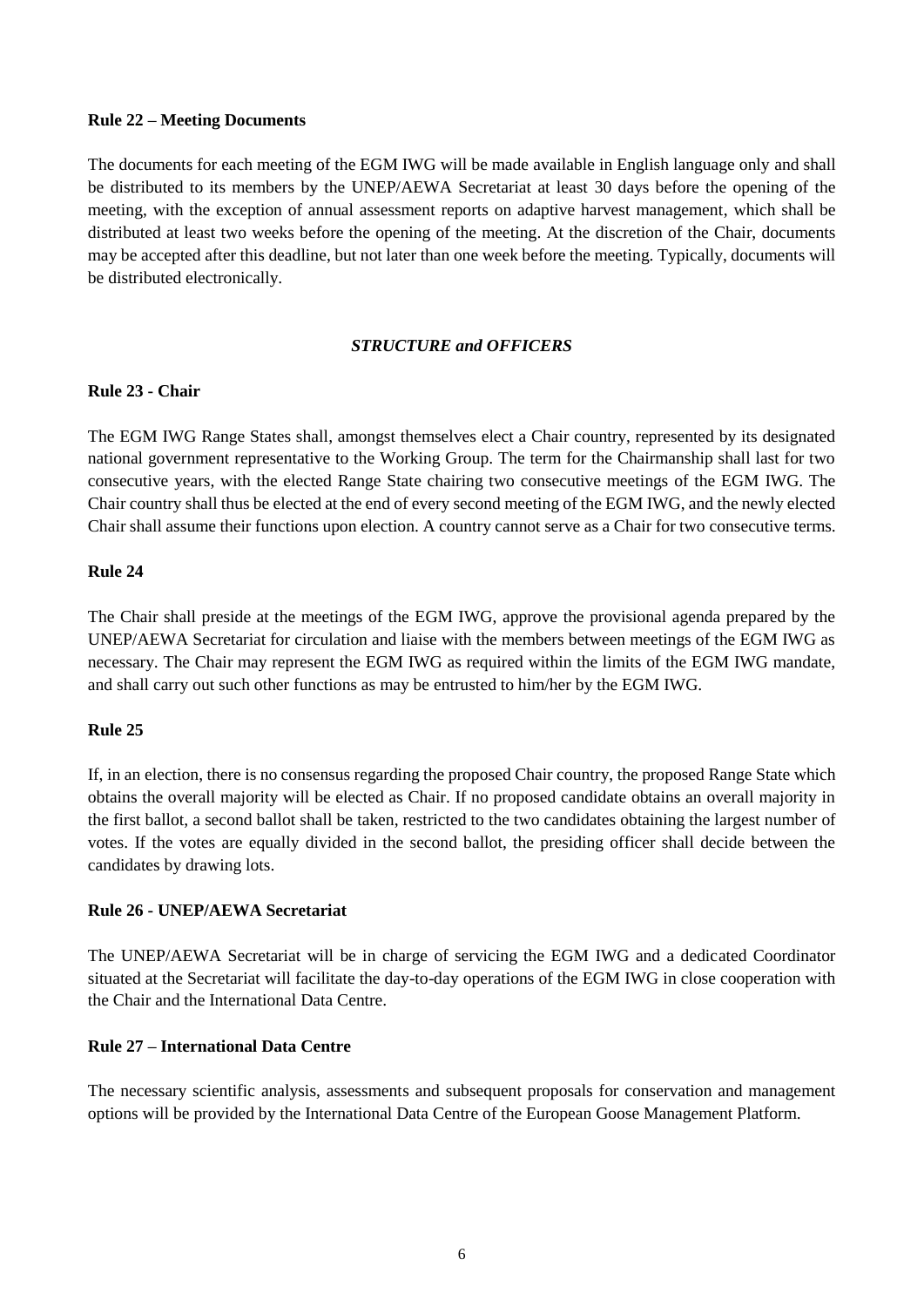## **Rule 22 – Meeting Documents**

The documents for each meeting of the EGM IWG will be made available in English language only and shall be distributed to its members by the UNEP/AEWA Secretariat at least 30 days before the opening of the meeting, with the exception of annual assessment reports on adaptive harvest management, which shall be distributed at least two weeks before the opening of the meeting. At the discretion of the Chair, documents may be accepted after this deadline, but not later than one week before the meeting. Typically, documents will be distributed electronically.

# *STRUCTURE and OFFICERS*

# **Rule 23 - Chair**

The EGM IWG Range States shall, amongst themselves elect a Chair country, represented by its designated national government representative to the Working Group. The term for the Chairmanship shall last for two consecutive years, with the elected Range State chairing two consecutive meetings of the EGM IWG. The Chair country shall thus be elected at the end of every second meeting of the EGM IWG, and the newly elected Chair shall assume their functions upon election. A country cannot serve as a Chair for two consecutive terms.

## **Rule 24**

The Chair shall preside at the meetings of the EGM IWG, approve the provisional agenda prepared by the UNEP/AEWA Secretariat for circulation and liaise with the members between meetings of the EGM IWG as necessary. The Chair may represent the EGM IWG as required within the limits of the EGM IWG mandate, and shall carry out such other functions as may be entrusted to him/her by the EGM IWG.

## **Rule 25**

If, in an election, there is no consensus regarding the proposed Chair country, the proposed Range State which obtains the overall majority will be elected as Chair. If no proposed candidate obtains an overall majority in the first ballot, a second ballot shall be taken, restricted to the two candidates obtaining the largest number of votes. If the votes are equally divided in the second ballot, the presiding officer shall decide between the candidates by drawing lots.

## **Rule 26 - UNEP/AEWA Secretariat**

The UNEP/AEWA Secretariat will be in charge of servicing the EGM IWG and a dedicated Coordinator situated at the Secretariat will facilitate the day-to-day operations of the EGM IWG in close cooperation with the Chair and the International Data Centre.

## **Rule 27 – International Data Centre**

The necessary scientific analysis, assessments and subsequent proposals for conservation and management options will be provided by the International Data Centre of the European Goose Management Platform.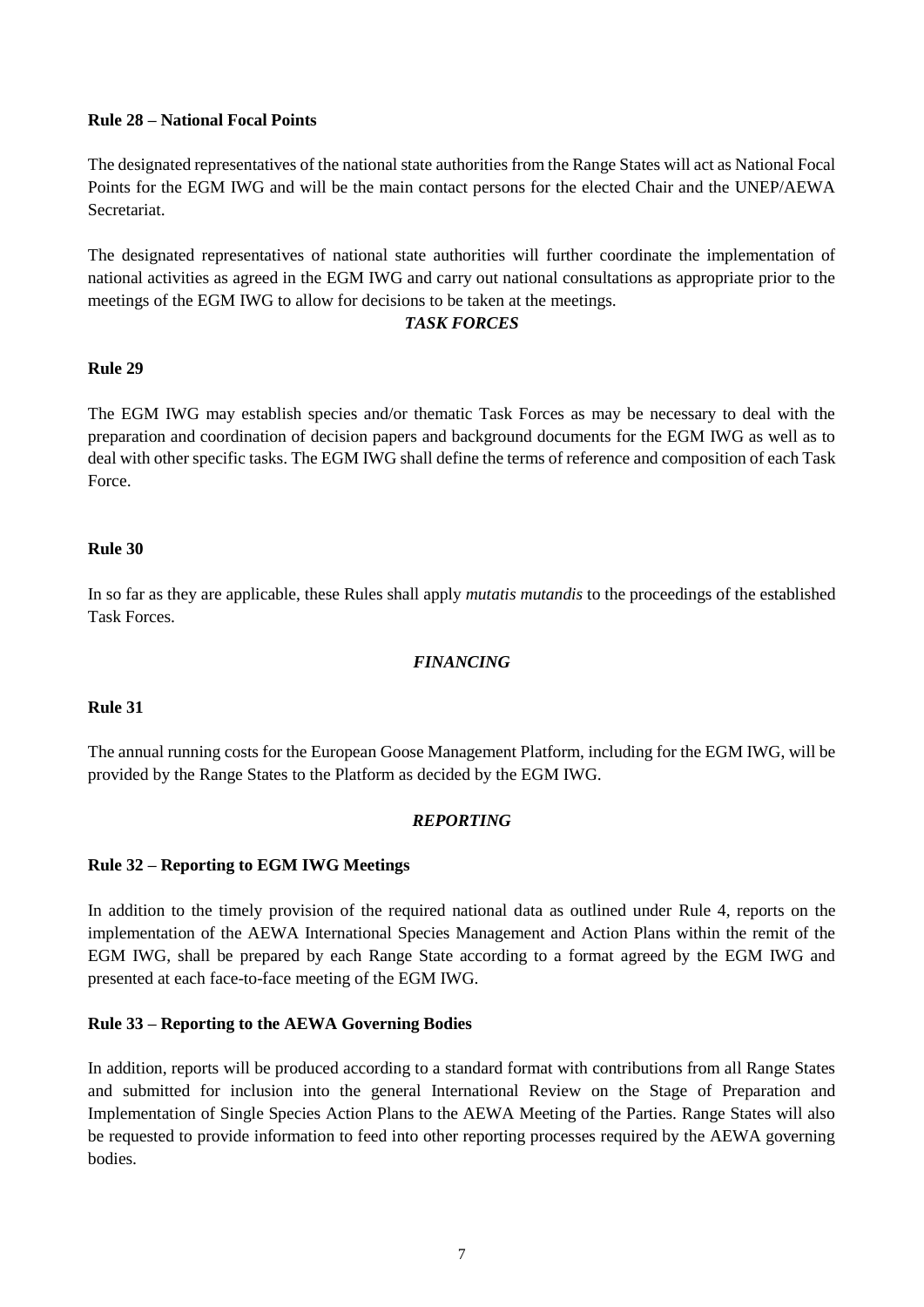## **Rule 28 – National Focal Points**

The designated representatives of the national state authorities from the Range States will act as National Focal Points for the EGM IWG and will be the main contact persons for the elected Chair and the UNEP/AEWA Secretariat.

The designated representatives of national state authorities will further coordinate the implementation of national activities as agreed in the EGM IWG and carry out national consultations as appropriate prior to the meetings of the EGM IWG to allow for decisions to be taken at the meetings.

# *TASK FORCES*

# **Rule 29**

The EGM IWG may establish species and/or thematic Task Forces as may be necessary to deal with the preparation and coordination of decision papers and background documents for the EGM IWG as well as to deal with other specific tasks. The EGM IWG shall define the terms of reference and composition of each Task Force.

## **Rule 30**

In so far as they are applicable, these Rules shall apply *mutatis mutandis* to the proceedings of the established Task Forces.

# *FINANCING*

# **Rule 31**

The annual running costs for the European Goose Management Platform, including for the EGM IWG, will be provided by the Range States to the Platform as decided by the EGM IWG.

# *REPORTING*

## **Rule 32 – Reporting to EGM IWG Meetings**

In addition to the timely provision of the required national data as outlined under Rule 4, reports on the implementation of the AEWA International Species Management and Action Plans within the remit of the EGM IWG, shall be prepared by each Range State according to a format agreed by the EGM IWG and presented at each face-to-face meeting of the EGM IWG.

## **Rule 33 – Reporting to the AEWA Governing Bodies**

In addition, reports will be produced according to a standard format with contributions from all Range States and submitted for inclusion into the general International Review on the Stage of Preparation and Implementation of Single Species Action Plans to the AEWA Meeting of the Parties. Range States will also be requested to provide information to feed into other reporting processes required by the AEWA governing bodies.